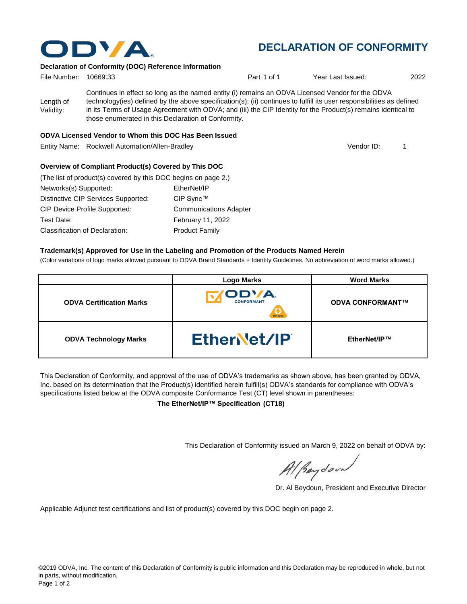

# **DECLARATION OF CONFORMITY**

#### **Declaration of Conformity (DOC) Reference Information**

| File Number: 10669.33  |                                                     | Part 1 of 1                                                                                                                                                                                                                                                                                                                                | Year Last Issued: | 2022 |
|------------------------|-----------------------------------------------------|--------------------------------------------------------------------------------------------------------------------------------------------------------------------------------------------------------------------------------------------------------------------------------------------------------------------------------------------|-------------------|------|
| Length of<br>Validity: | those enumerated in this Declaration of Conformity. | Continues in effect so long as the named entity (i) remains an ODVA Licensed Vendor for the ODVA<br>technology(ies) defined by the above specification(s); (ii) continues to fulfill its user responsibilities as defined<br>in its Terms of Usage Agreement with ODVA; and (iii) the CIP Identity for the Product(s) remains identical to |                   |      |

#### **ODVA Licensed Vendor to Whom this DOC Has Been Issued**

Entity Name: Rockwell Automation/Allen-Bradley 1

Vendor ID:

#### **Overview of Compliant Product(s) Covered by This DOC**

| (The list of product(s) covered by this DOC begins on page 2.) |                               |
|----------------------------------------------------------------|-------------------------------|
| Networks(s) Supported:                                         | EtherNet/IP                   |
| Distinctive CIP Services Supported:                            | CIP Sync™                     |
| CIP Device Profile Supported:                                  | <b>Communications Adapter</b> |
| Test Date:                                                     | <b>February 11, 2022</b>      |
| Classification of Declaration:                                 | <b>Product Family</b>         |

#### **Trademark(s) Approved for Use in the Labeling and Promotion of the Products Named Herein**

(Color variations of logo marks allowed pursuant to ODVA Brand Standards + Identity Guidelines. No abbreviation of word marks allowed.)

|                                 | <b>Logo Marks</b>                      | <b>Word Marks</b>       |
|---------------------------------|----------------------------------------|-------------------------|
| <b>ODVA Certification Marks</b> | ODVA.<br><b>CONFORMANT</b><br>CIP Sync | <b>ODVA CONFORMANT™</b> |
| <b>ODVA Technology Marks</b>    | EtherNet/IP                            | EtherNet/IP™            |

This Declaration of Conformity, and approval of the use of ODVA's trademarks as shown above, has been granted by ODVA, Inc. based on its determination that the Product(s) identified herein fulfill(s) ODVA's standards for compliance with ODVA's specifications listed below at the ODVA composite Conformance Test (CT) level shown in parentheses:

**The EtherNet/IP™ Specification (CT18)**

This Declaration of Conformity issued on March 9, 2022 on behalf of ODVA by:

Al Beydoor

Dr. Al Beydoun, President and Executive Director

Applicable Adjunct test certifications and list of product(s) covered by this DOC begin on page 2.